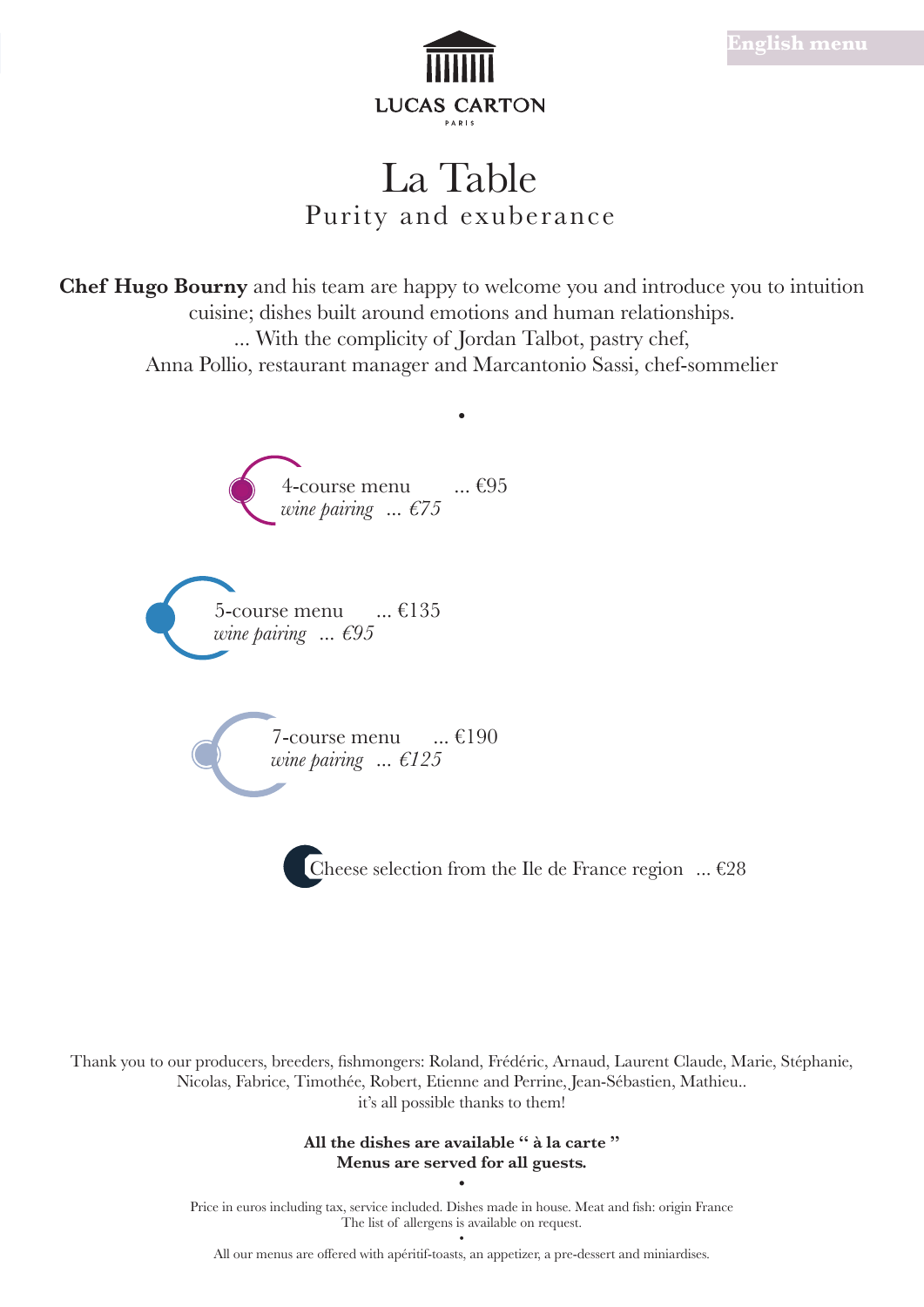

# La Table Purity and exuberance

**Chef Hugo Bourny** and his team are happy to welcome you and introduce you to intuition cuisine; dishes built around emotions and human relationships. ... With the complicity of Jordan Talbot, pastry chef, Anna Pollio, restaurant manager and Marcantonio Sassi, chef-sommelier



Thank you to our producers, breeders, fishmongers: Roland, Frédéric, Arnaud, Laurent Claude, Marie, Stéphanie, Nicolas, Fabrice, Timothée, Robert, Etienne and Perrine, Jean-Sébastien, Mathieu.. it's all possible thanks to them!

> **All the dishes are available '' à la carte '' Menus are served for all guests. •**

Price in euros including tax, service included. Dishes made in house. Meat and fish: origin France The list of allergens is available on request.

• All our menus are offered with apéritif-toasts, an appetizer, a pre-dessert and miniardises.